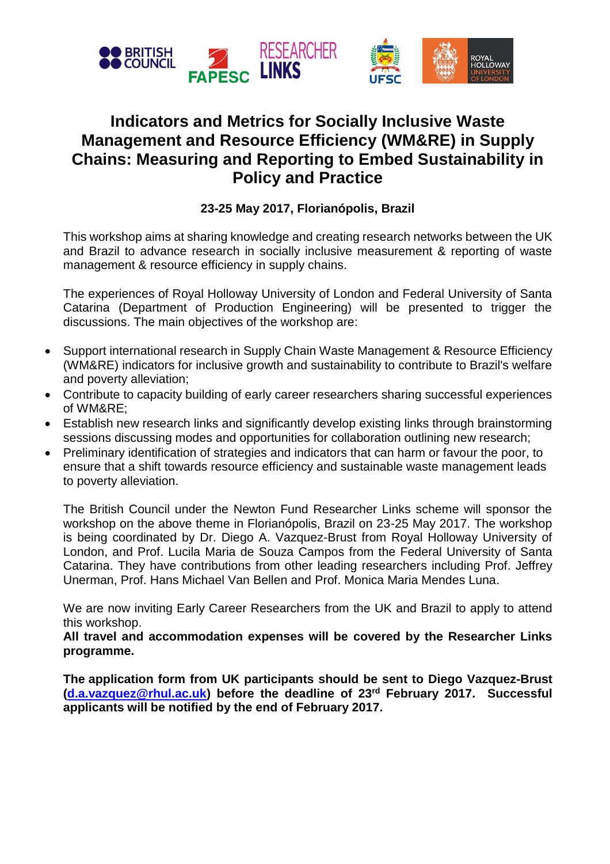

## **Indicators and Metrics for Socially Inclusive Waste Management and Resource Efficiency (WM&RE) in Supply Chains: Measuring and Reporting to Embed Sustainability in Policy and Practice**

## **23-25 May 2017, Florianópolis, Brazil**

This workshop aims at sharing knowledge and creating research networks between the UK and Brazil to advance research in socially inclusive measurement & reporting of waste management & resource efficiency in supply chains.

The experiences of Royal Holloway University of London and Federal University of Santa Catarina (Department of Production Engineering) will be presented to trigger the discussions. The main objectives of the workshop are:

- Support international research in Supply Chain Waste Management & Resource Efficiency (WM&RE) indicators for inclusive growth and sustainability to contribute to Brazil's welfare and poverty alleviation;
- Contribute to capacity building of early career researchers sharing successful experiences of WM&RE;
- Establish new research links and significantly develop existing links through brainstorming sessions discussing modes and opportunities for collaboration outlining new research;
- Preliminary identification of strategies and indicators that can harm or favour the poor, to ensure that a shift towards resource efficiency and sustainable waste management leads to poverty alleviation.

The British Council under the Newton Fund Researcher Links scheme will sponsor the workshop on the above theme in Florianópolis, Brazil on 23-25 May 2017. The workshop is being coordinated by Dr. Diego A. Vazquez-Brust from Royal Holloway University of London, and Prof. Lucila Maria de Souza Campos from the Federal University of Santa Catarina. They have contributions from other leading researchers including Prof. Jeffrey Unerman, Prof. Hans Michael Van Bellen and Prof. Monica Maria Mendes Luna.

We are now inviting Early Career Researchers from the UK and Brazil to apply to attend this workshop.

**All travel and accommodation expenses will be covered by the Researcher Links programme.**

**The application form from UK participants should be sent to Diego Vazquez-Brust [\(d.a.vazquez@rhul.ac.uk\)](mailto:d.a.vazquez@rhul.ac.uk) before the deadline of 23rd February 2017. Successful applicants will be notified by the end of February 2017.**